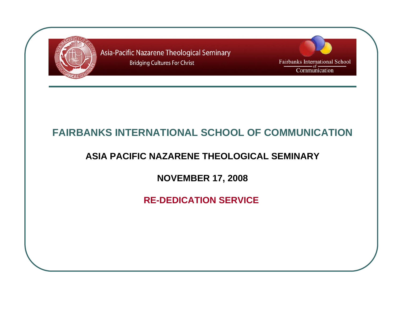

Fairbanks International School Communication

### **FAIRBANKS INTERNATIONAL SCHOOL OF COMMUNICATION**

#### **ASIA PACIFIC NAZARENE THEOLOGICAL SEMINARY**

**NOVEMBER 17, 2008**

**RE-DEDICATION SERVICE**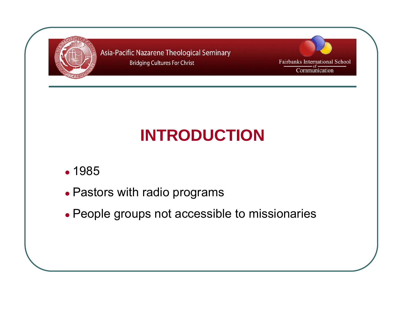

Fairbanks International School Communication

# **INTRODUCTION**

- 1985
- Pastors with radio programs
- People groups not accessible to missionaries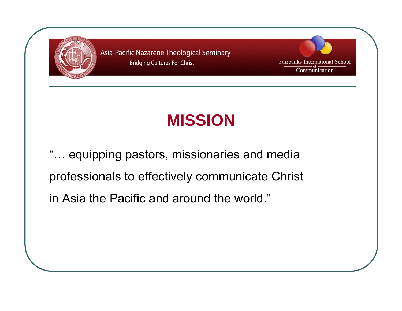



### **MISSION**

"… equipping pastors, missionaries and media professionals to effectively communicate Christ in Asia the Pacific and around the world."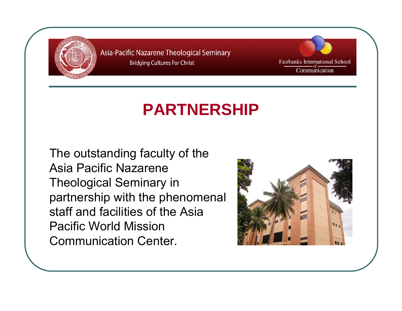

Fairbanks International School Communication

### **PARTNERSHIP**

The outstanding faculty of the Asia Pacific Nazarene Theological Seminary in partnership with the phenomenal staff and facilities of the Asia Pacific World Mission Communication Center.

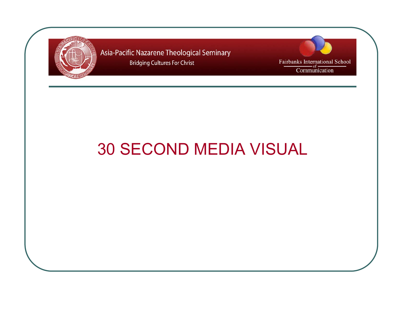

Fairbanks International School Communication

### 30 SECOND MEDIA VISUAL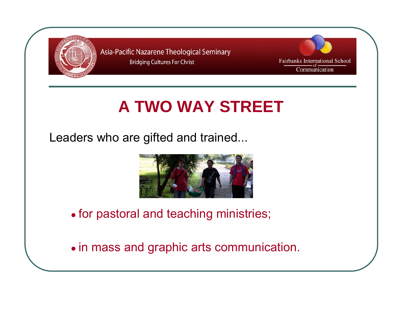



### **A TWO WAY STREET**

Leaders who are gifted and trained...



• for pastoral and teaching ministries;

• in mass and graphic arts communication.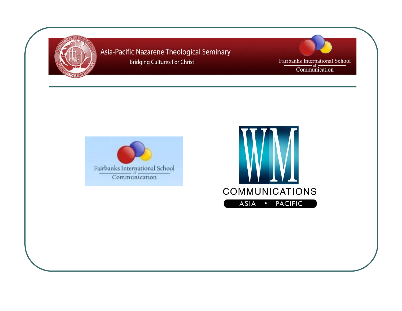

Fairbanks International School<br>Communication



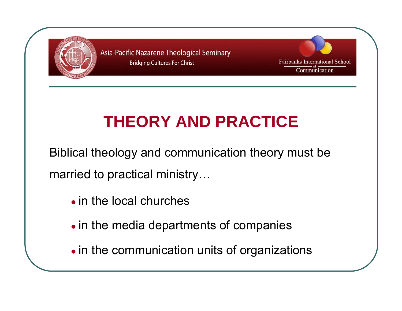



### **THEORY AND PRACTICE**

Biblical theology and communication theory must be married to practical ministry…

- $\bullet$  in the local churches
- in the media departments of companies
- in the communication units of organizations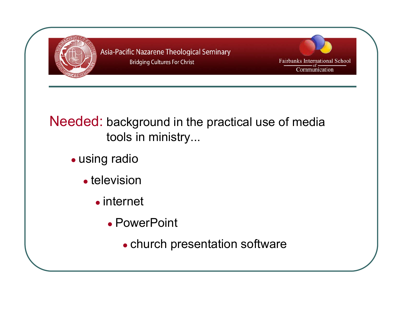



### Needed: background in the practical use of media tools in ministry...

- using radio
	- television
		- internet
			- PowerPoint
				- church presentation software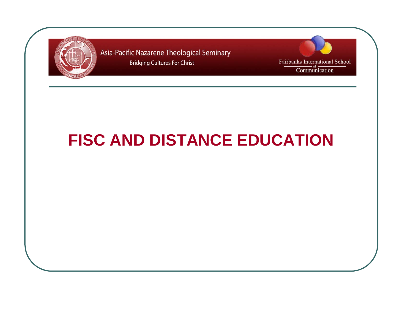



### **FISC AND DISTANCE EDUCATION**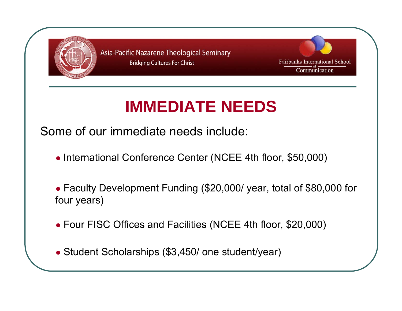



### **IMMEDIATE NEEDS**

Some of our immediate needs include:

● International Conference Center (NCEE 4th floor, \$50,000)

● Faculty Development Funding (\$20,000/ year, total of \$80,000 for four years)

- Four FISC Offices and Facilities (NCEE 4th floor, \$20,000)
- Student Scholarships (\$3,450/ one student/year)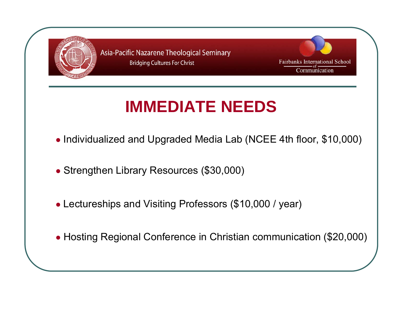



### **IMMEDIATE NEEDS**

- Individualized and Upgraded Media Lab (NCEE 4th floor, \$10,000)
- Strengthen Library Resources (\$30,000)
- Lectureships and Visiting Professors (\$10,000 / year)
- Hosting Regional Conference in Christian communication (\$20,000)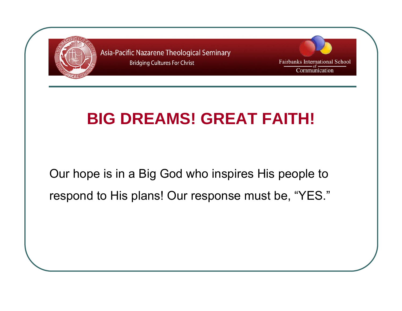

Fairbanks International School Communication

### **BIG DREAMS! GREAT FAITH!**

Our hope is in a Big God who inspires His people to respond to His plans! Our response must be, "YES."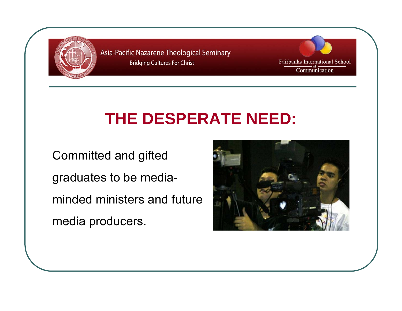

Fairbanks International School Communication

### **THE DESPERATE NEED:**

Committed and gifted graduates to be mediaminded ministers and future media producers.

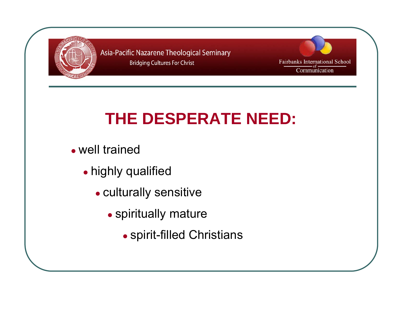



# **THE DESPERATE NEED:**

- well trained
	- highly qualified
		- culturally sensitive
			- spiritually mature
				- spirit-filled Christians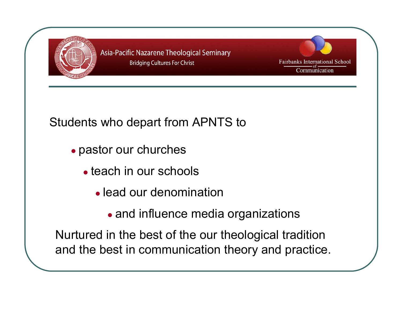



### Students who depart from APNTS to

- pastor our churches
	- teach in our schools
		- lead our denomination
			- and influence media organizations

Nurtured in the best of the our theological tradition and the best in communication theory and practice.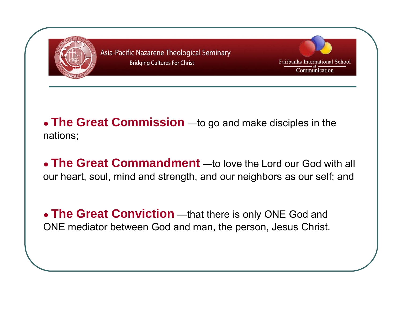

- **The Great Commission** —to go and make disciples in the nations;
- **The Great Commandment** —to love the Lord our God with all our heart, soul, mind and strength, and our neighbors as our self; and
- **The Great Conviction** —that there is only ONE God and ONE mediator between God and man, the person, Jesus Christ.